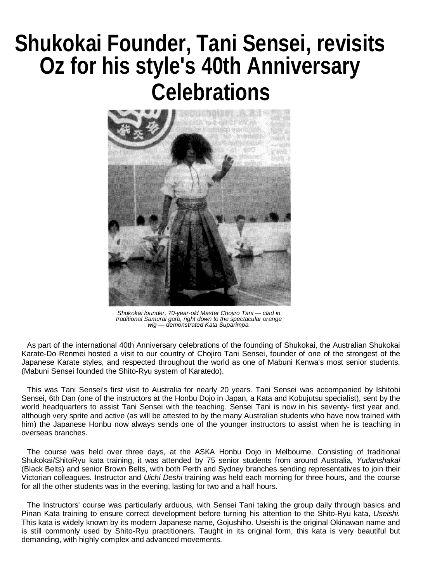## **Shukokai Founder, Tani Sensei, revisits Oz for his style's 40th Anniversary Celebrations**



Shukokai founder, 70-year-old Master Chojiro Tani — clad in<br>traditional Samurai garb, right down to the spectacular orange<br>wig — demonstrated Kata Suparimpa.

As part of the international 40th Anniversary celebrations of the founding of Shukokai, the Australian Shukokai Karate-Do Renmei hosted a visit to our country of Chojiro Tani Sensei, founder of one of the strongest of the Japanese Karate styles, and respected throughout the world as one of Mabuni Kenwa's most senior students. (Mabuni Sensei founded the Shito-Ryu system of Karatedo).

This was Tani Sensei's first visit to Australia for nearly 20 years. Tani Sensei was accompanied by Ishitobi Sensei, 6th Dan (one of the instructors at the Honbu Dojo in Japan, a Kata and Kobujutsu specialist), sent by the world headquarters to assist Tani Sensei with the teaching. Sensei Tani is now in his seventy- first year and, although very sprite and active (as will be attested to by the many Australian students who have now trained with him) the Japanese Honbu now always sends one of the younger instructors to assist when he is teaching in overseas branches.

The course was held over three days, at the ASKA Honbu Dojo in Melbourne. Consisting of traditional Shukokai/ShitoRyu kata training, it was attended by 75 senior students from around Australia, *Yudanshakai* (Black Belts) and senior Brown Belts, with both Perth and Sydney branches sending representatives to join their Victorian colleagues. Instructor and *Uichi Deshi* training was held each morning for three hours, and the course for all the other students was in the evening, lasting for two and a half hours.

The Instructors' course was particularly arduous, with Sensei Tani taking the group daily through basics and Pinan Kata training to ensure correct development before turning his attention to the Shito-Ryu kata, *Useishi.* This kata is widely known by its modern Japanese name, Gojushiho. Useishi is the original Okinawan name and is still commonly used by Shito-Ryu practitioners. Taught in its original form, this kata is very beautiful but demanding, with highly complex and advanced movements.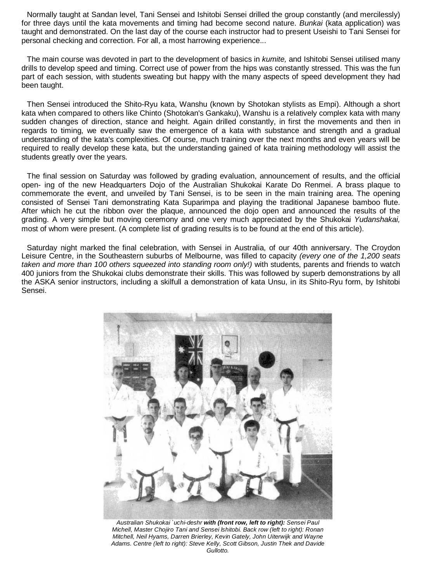Normally taught at Sandan level, Tani Sensei and Ishitobi Sensei drilled the group constantly (and mercilessly) for three days until the kata movements and timing had become second nature. *Bunkai* (kata application) was taught and demonstrated. On the last day of the course each instructor had to present Useishi to Tani Sensei for personal checking and correction. For all, a most harrowing experience...

The main course was devoted in part to the development of basics in *kumite,* and Ishitobi Sensei utilised many drills to develop speed and timing. Correct use of power from the hips was constantly stressed. This was the fun part of each session, with students sweating but happy with the many aspects of speed development they had been taught.

Then Sensei introduced the Shito-Ryu kata, Wanshu (known by Shotokan stylists as Empi). Although a short kata when compared to others like Chinto (Shotokan's Gankaku), Wanshu is a relatively complex kata with many sudden changes of direction, stance and height. Again drilled constantly, in first the movements and then in regards to timing, we eventually saw the emergence of a kata with substance and strength and a gradual understanding of the kata's complexities. Of course, much training over the next months and even years will be required to really develop these kata, but the understanding gained of kata training methodology will assist the students greatly over the years.

The final session on Saturday was followed by grading evaluation, announcement of results, and the official open- ing of the new Headquarters Dojo of the Australian Shukokai Karate Do Renmei. A brass plaque to commemorate the event, and unveiled by Tani Sensei, is to be seen in the main training area. The opening consisted of Sensei Tani demonstrating Kata Suparimpa and playing the traditional Japanese bamboo flute. After which he cut the ribbon over the plaque, announced the dojo open and announced the results of the grading. A very simple but moving ceremony and one very much appreciated by the Shukokai *Yudanshakai,* most of whom were present. (A complete list of grading results is to be found at the end of this article).

Saturday night marked the final celebration, with Sensei in Australia, of our 40th anniversary. The Croydon Leisure Centre, in the Southeastern suburbs of Melbourne, was filled to capacity *(every one of the 1,200 seats taken and more than 100 others squeezed into standing room only!)* with students, parents and friends to watch 400 juniors from the Shukokai clubs demonstrate their skills. This was followed by superb demonstrations by all the ASKA senior instructors, including a skilfull a demonstration of kata Unsu, in its Shito-Ryu form, by Ishitobi Sensei.



*Australian Shukokai `uchi-deshr with (front row, left to right): Sensei Paul Michell, Master Chojiro Tani and Sensei lshitobi. Back row (left to right): Ronan Mitchell, Neil Hyams, Darren Brierley, Kevin Gately, John Uiterwijk and Wayne Adams. Centre (left to right): Steve Kelly, Scott Gibson, Justin Thek and Davide Gullotto.*